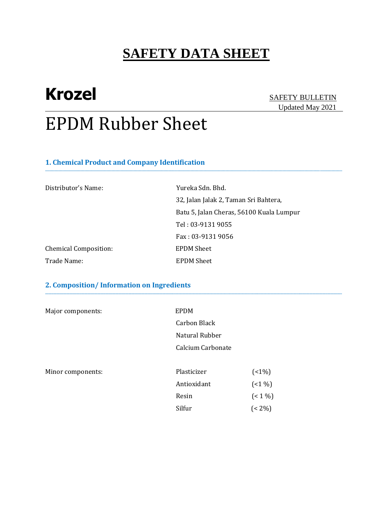**\_\_\_\_\_\_\_\_\_\_\_\_\_\_\_\_\_\_\_\_\_\_\_\_\_\_\_\_\_\_\_\_\_\_\_\_\_\_\_\_\_\_\_\_\_\_\_\_\_\_\_\_\_\_\_\_\_\_\_\_\_\_\_\_\_\_\_\_\_\_\_\_\_\_\_\_\_\_\_\_\_\_\_\_\_\_\_\_\_\_\_\_\_\_\_\_\_\_\_\_\_\_\_\_\_\_\_\_\_\_\_\_\_\_\_\_\_\_\_\_\_\_\_\_\_\_\_\_\_\_\_\_\_\_\_**

**\_\_\_\_\_\_\_\_\_\_\_\_\_\_\_\_\_\_\_\_\_\_\_\_\_\_\_\_\_\_\_\_\_\_\_\_\_\_\_\_\_\_\_\_\_\_\_\_\_\_\_\_\_\_\_\_\_\_\_\_\_\_\_\_\_\_\_\_\_\_\_\_\_\_\_\_\_\_\_\_\_\_\_\_\_\_\_\_\_\_\_\_\_\_\_\_\_\_\_\_\_\_\_\_\_\_\_\_\_\_\_\_\_\_\_\_\_\_\_\_\_\_\_\_\_\_\_\_\_\_\_\_\_\_\_\_\_\_\_\_\_\_\_\_\_\_\_\_\_\_\_\_\_\_\_\_\_\_\_\_\_\_\_\_\_\_\_\_\_\_\_\_\_\_\_\_\_\_\_\_\_\_**

# **Krozel** SAFETY BULLETIN

# Updated May 2021

# EPDM Rubber Sheet

### **1. Chemical Product and Company Identification**

| Distributor's Name:          | Yureka Sdn. Bhd.                         |
|------------------------------|------------------------------------------|
|                              | 32, Jalan Jalak 2, Taman Sri Bahtera,    |
|                              | Batu 5, Jalan Cheras, 56100 Kuala Lumpur |
|                              | Tel: 03-9131 9055                        |
|                              | Fax: 03-9131 9056                        |
| <b>Chemical Composition:</b> | <b>EPDM Sheet</b>                        |
| Trade Name:                  | <b>EPDM Sheet</b>                        |

### **2. Composition/ Information on Ingredients**

| Major components: | <b>EPDM</b>       |            |
|-------------------|-------------------|------------|
|                   | Carbon Black      |            |
|                   | Natural Rubber    |            |
|                   | Calcium Carbonate |            |
| Minor components: | Plasticizer       | $(1\%)$    |
|                   | Antioxidant       | $(1\%)$    |
|                   | Resin             | $($ < 1 %) |
|                   | Silfur            | $(< 2\%)$  |
|                   |                   |            |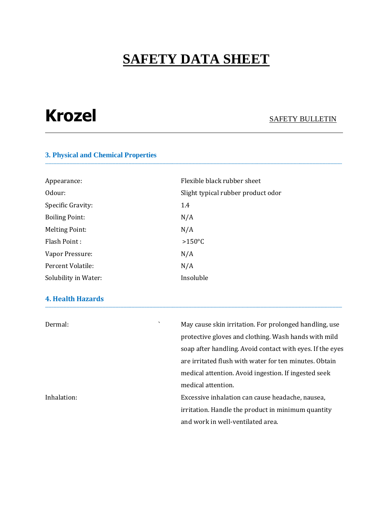**\_\_\_\_\_\_\_\_\_\_\_\_\_\_\_\_\_\_\_\_\_\_\_\_\_\_\_\_\_\_\_\_\_\_\_\_\_\_\_\_\_\_\_\_\_\_\_\_\_\_\_\_\_\_\_\_\_\_\_\_\_\_\_\_\_\_\_\_\_\_\_\_\_\_\_\_\_\_\_\_\_\_\_\_\_\_\_\_\_\_\_\_\_\_\_\_\_\_\_\_\_\_\_\_\_\_\_\_\_\_\_\_\_\_\_\_\_\_\_\_\_\_\_\_\_\_\_\_\_\_\_\_\_\_\_\_\_\_\_\_\_\_\_\_\_\_\_\_\_\_\_\_\_\_\_\_\_\_\_\_\_\_\_\_\_\_\_\_\_\_\_\_\_\_\_\_\_\_\_\_\_\_**

# **Krozel** SAFETY BULLETIN

### **3. Physical and Chemical Properties**

| Appearance:           | Flexible black rubber sheet        |
|-----------------------|------------------------------------|
| Odour:                | Slight typical rubber product odor |
| Specific Gravity:     | 1.4                                |
| <b>Boiling Point:</b> | N/A                                |
| <b>Melting Point:</b> | N/A                                |
| Flash Point:          | $>150^{\circ}$ C                   |
| Vapor Pressure:       | N/A                                |
| Percent Volatile:     | N/A                                |
| Solubility in Water:  | Insoluble                          |

### **4. Health Hazards \_\_\_\_\_\_\_\_\_\_\_\_\_\_\_\_\_\_\_\_\_\_\_\_\_\_\_\_\_\_\_\_\_\_\_\_\_\_\_\_\_\_\_\_\_\_\_\_\_\_\_\_\_\_\_\_\_\_\_\_\_\_\_\_\_\_\_\_\_\_\_\_\_\_\_\_\_\_\_\_\_\_\_\_\_\_\_\_\_\_\_\_\_\_\_\_\_\_\_\_\_\_\_\_\_\_\_\_\_\_\_\_\_\_\_\_\_\_\_\_\_\_\_\_\_\_\_\_\_\_\_\_\_\_\_\_\_\_\_\_\_\_\_\_\_\_\_\_\_\_\_\_\_\_\_\_\_\_\_\_\_\_\_\_\_\_\_\_\_\_\_\_\_\_\_\_\_\_\_\_\_\_**

| Dermal:     | $\cdot$ | May cause skin irritation. For prolonged handling, use    |
|-------------|---------|-----------------------------------------------------------|
|             |         | protective gloves and clothing. Wash hands with mild      |
|             |         | soap after handling. Avoid contact with eyes. If the eyes |
|             |         | are irritated flush with water for ten minutes. Obtain    |
|             |         | medical attention. Avoid ingestion. If ingested seek      |
|             |         | medical attention.                                        |
| Inhalation: |         | Excessive inhalation can cause headache, nausea,          |
|             |         | irritation. Handle the product in minimum quantity        |
|             |         | and work in well-ventilated area.                         |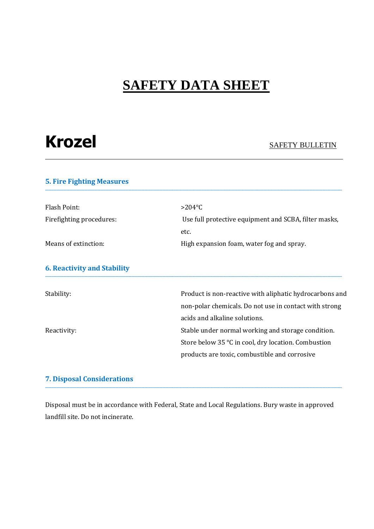| <b>Krozel</b> | <b>SAFETY BULLETIN</b> |
|---------------|------------------------|
|---------------|------------------------|

### **5. Fire Fighting Measures \_\_\_\_\_\_\_\_\_\_\_\_\_\_\_\_\_\_\_\_\_\_\_\_\_\_\_\_\_\_\_\_\_\_\_\_\_\_\_\_\_\_\_\_\_\_\_\_\_\_\_\_\_\_\_\_\_\_\_\_\_\_\_\_\_\_\_\_\_\_\_\_\_\_\_\_\_\_\_\_\_\_\_\_\_\_\_\_\_\_\_\_\_\_\_\_\_\_\_\_\_\_\_\_\_\_\_\_\_\_\_\_\_\_\_\_\_\_\_\_\_\_\_\_\_\_\_\_\_\_\_\_\_\_\_\_\_\_\_\_\_\_\_\_\_\_\_\_\_\_\_\_\_\_\_\_\_\_\_\_\_\_\_\_\_\_\_\_\_\_\_\_\_\_\_\_\_\_\_\_\_\_** Flash Point:  $>204$ °C Firefighting procedures: Use full protective equipment and SCBA, filter masks, etc. Means of extinction: <br>
High expansion foam, water fog and spray. **6. Reactivity and Stability \_\_\_\_\_\_\_\_\_\_\_\_\_\_\_\_\_\_\_\_\_\_\_\_\_\_\_\_\_\_\_\_\_\_\_\_\_\_\_\_\_\_\_\_\_\_\_\_\_\_\_\_\_\_\_\_\_\_\_\_\_\_\_\_\_\_\_\_\_\_\_\_\_\_\_\_\_\_\_\_\_\_\_\_\_\_\_\_\_\_\_\_\_\_\_\_\_\_\_\_\_\_\_\_\_\_\_\_\_\_\_\_\_\_\_\_\_\_\_\_\_\_\_\_\_\_\_\_\_\_\_\_\_\_\_\_\_\_\_\_\_\_\_\_\_\_\_\_\_\_\_\_\_\_\_\_\_\_\_\_\_\_\_\_\_\_\_\_\_\_\_\_\_\_\_\_\_\_\_\_\_\_** Stability: Stability: Stability: Product is non-reactive with aliphatic hydrocarbons and non-polar chemicals. Do not use in contact with strong acids and alkaline solutions. Reactivity:  $\blacksquare$  Stable under normal working and storage condition. Store below 35 °C in cool, dry location. Combustion products are toxic, combustible and corrosive

### **7. Disposal Considerations \_\_\_\_\_\_\_\_\_\_\_\_\_\_\_\_\_\_\_\_\_\_\_\_\_\_\_\_\_\_\_\_\_\_\_\_\_\_\_\_\_\_\_\_\_\_\_\_\_\_\_\_\_\_\_\_\_\_\_\_\_\_\_\_\_\_\_\_\_\_\_\_\_\_\_\_\_\_\_\_\_\_\_\_\_\_\_\_\_\_\_\_\_\_\_\_\_\_\_\_\_\_\_\_\_\_\_\_\_\_\_\_\_\_\_\_\_\_\_\_\_\_\_\_\_\_\_\_\_\_\_\_\_\_\_\_\_\_\_\_\_\_\_\_\_\_\_\_\_\_\_\_\_\_\_\_\_\_\_\_\_\_\_\_\_\_\_\_\_\_\_\_\_\_\_\_\_\_\_\_\_\_**

Disposal must be in accordance with Federal, State and Local Regulations. Bury waste in approved landfill site. Do not incinerate.